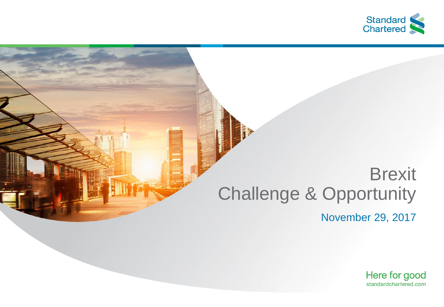

## **Brexit** Challenge & Opportunity

November 29, 2017

Here for good standardchartered.com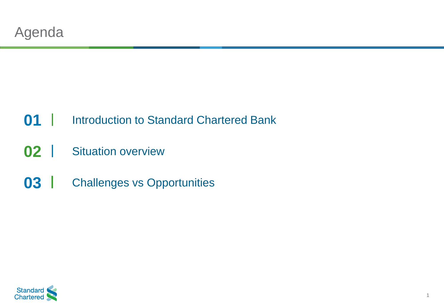#### Introduction to Standard Chartered Bank

- Situation overview
- Challenges vs Opportunities

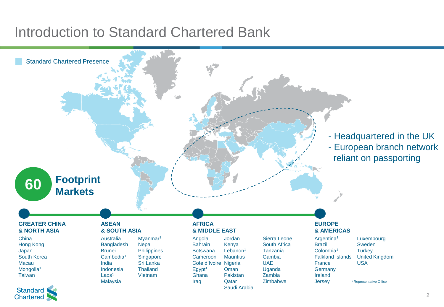#### Introduction to Standard Chartered Bank

**Chartered** 



2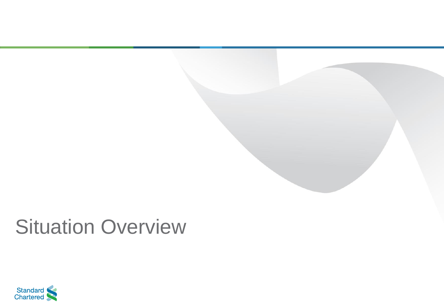

## Situation Overview

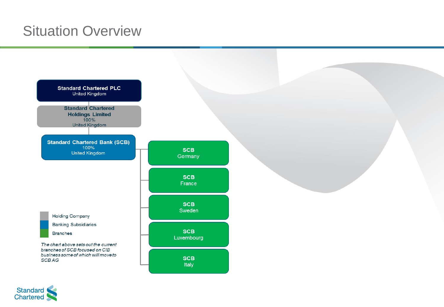### Situation Overview



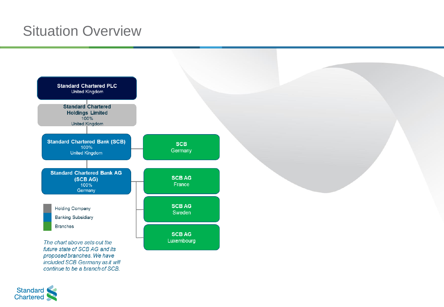### Situation Overview



Standard<br>Chartered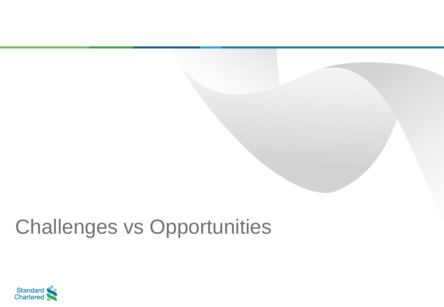# Challenges vs Opportunities

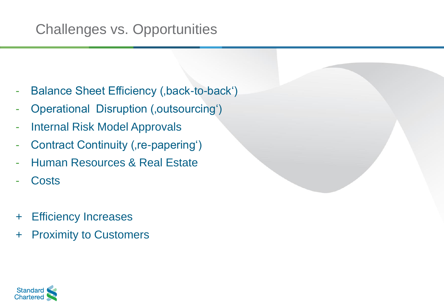## Challenges vs. Opportunities

- Balance Sheet Efficiency (,back-to-back')
- Operational Disruption (,outsourcing')
- **Internal Risk Model Approvals**
- Contract Continuity (, re-papering')
- Human Resources & Real Estate
- **Costs**
- + Efficiency Increases
- + Proximity to Customers